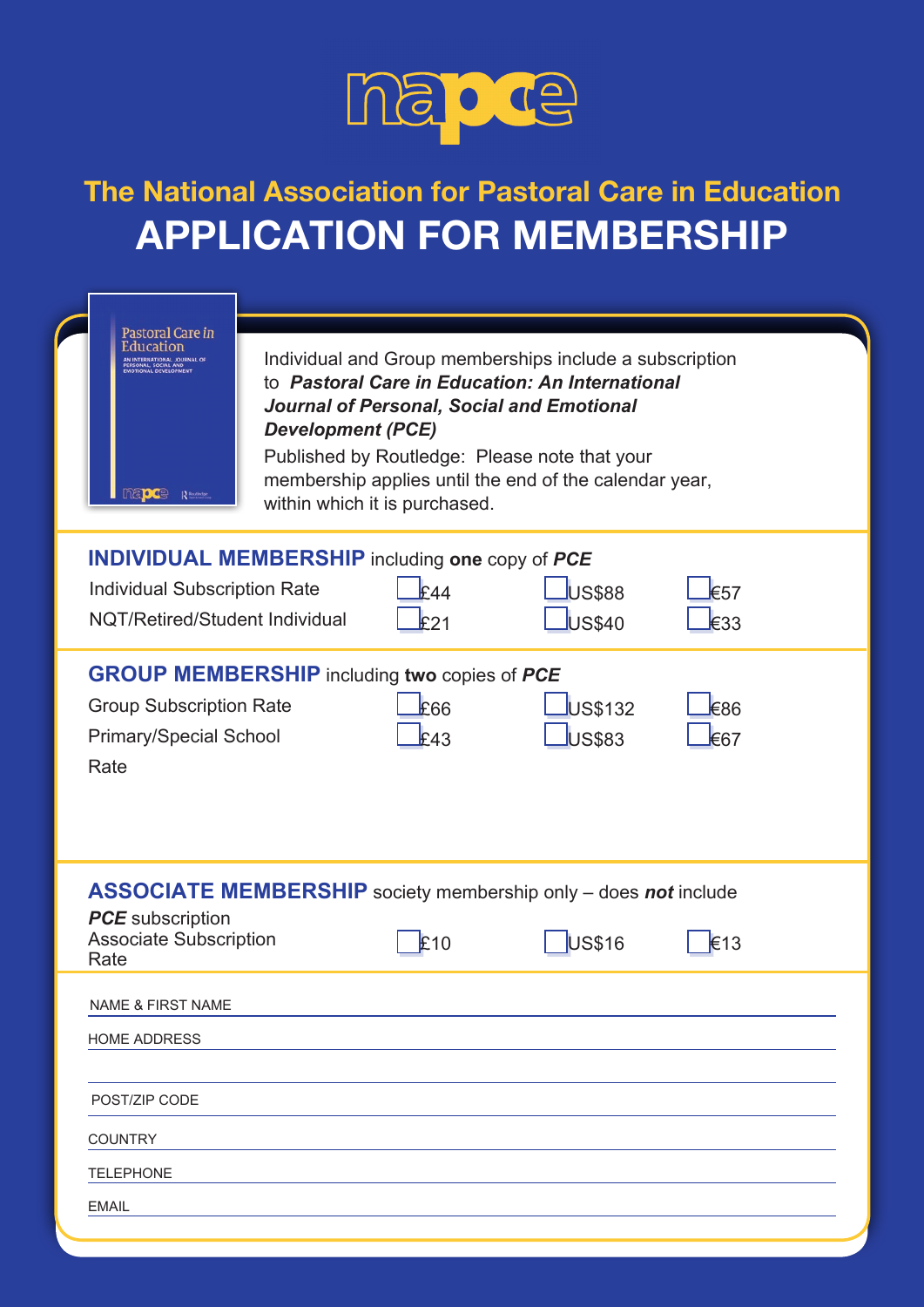

## The National Association for Pastoral Care in Education APPLICATION FOR MEMBERSHIP

|  | Pastoral Care in<br>Education<br>AN INTERNATIONAL JOURNAL OF<br>SONAL, SOCIAL AND<br>DTIONAL DEVELOPMENT<br>napce<br>R Routledge |                          |                               |                                                                                                                                                                                                                                                                    |                                |  |
|--|----------------------------------------------------------------------------------------------------------------------------------|--------------------------|-------------------------------|--------------------------------------------------------------------------------------------------------------------------------------------------------------------------------------------------------------------------------------------------------------------|--------------------------------|--|
|  |                                                                                                                                  | <b>Development (PCE)</b> | within which it is purchased. | Individual and Group memberships include a subscription<br>to Pastoral Care in Education: An International<br>Journal of Personal, Social and Emotional<br>Published by Routledge: Please note that your<br>membership applies until the end of the calendar year, |                                |  |
|  | <b>INDIVIDUAL MEMBERSHIP</b> including one copy of PCE<br><b>Individual Subscription Rate</b><br>NQT/Retired/Student Individual  |                          | F44<br>F21                    | <b>JUS\$88</b><br>US\$40                                                                                                                                                                                                                                           | $\epsilon$ 57<br>E33           |  |
|  | <b>GROUP MEMBERSHIP</b> including two copies of PCE<br><b>Group Subscription Rate</b><br><b>Primary/Special School</b><br>Rate   |                          | E66<br>£43                    | US\$132<br><b>US\$83</b>                                                                                                                                                                                                                                           | $\epsilon$ 86<br>$\epsilon$ 67 |  |
|  | <b>PCE</b> subscription<br><b>Associate Subscription</b><br>Rate                                                                 |                          | £10                           | <b>ASSOCIATE MEMBERSHIP</b> society membership only - does not include<br><b>US\$16</b>                                                                                                                                                                            | $\epsilon$ 13                  |  |
|  | <b>NAME &amp; FIRST NAME</b><br><b>HOME ADDRESS</b><br>POST/ZIP CODE<br><b>COUNTRY</b><br><b>TELEPHONE</b><br><b>EMAIL</b>       |                          |                               |                                                                                                                                                                                                                                                                    |                                |  |
|  |                                                                                                                                  |                          |                               |                                                                                                                                                                                                                                                                    |                                |  |